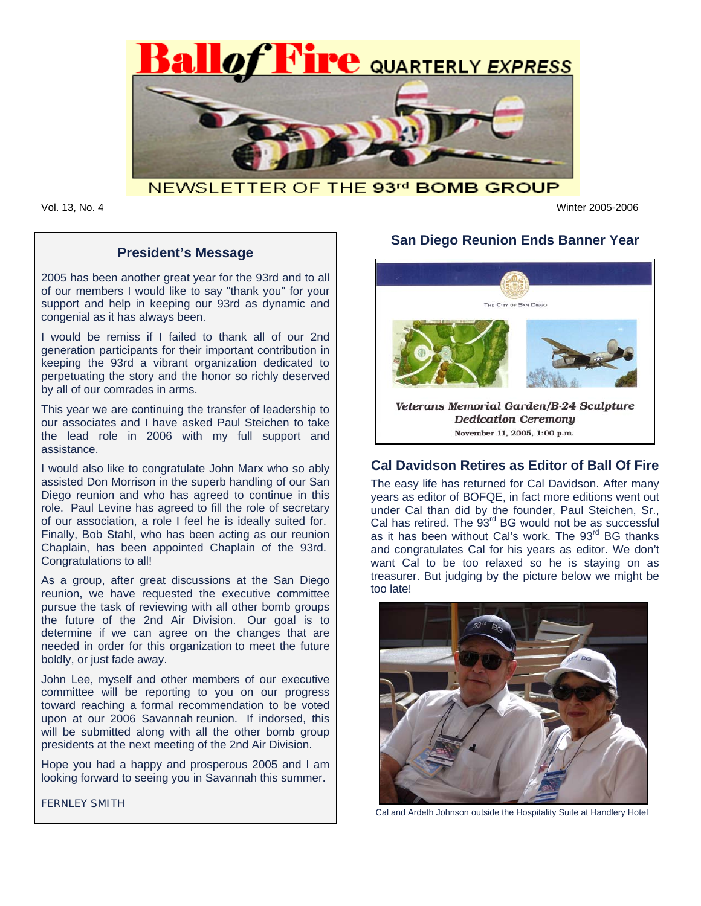

NEWSLETTER OF THE 93rd BOMB GROUP

Vol. 13, No. 4 Winter 2005-2006

### **President's Message**

2005 has been another great year for the 93rd and to all of our members I would like to say "thank you" for your support and help in keeping our 93rd as dynamic and congenial as it has always been.

I would be remiss if I failed to thank all of our 2nd generation participants for their important contribution in keeping the 93rd a vibrant organization dedicated to perpetuating the story and the honor so richly deserved by all of our comrades in arms.

This year we are continuing the transfer of leadership to our associates and I have asked Paul Steichen to take the lead role in 2006 with my full support and assistance.

I would also like to congratulate John Marx who so ably assisted Don Morrison in the superb handling of our San Diego reunion and who has agreed to continue in this role. Paul Levine has agreed to fill the role of secretary of our association, a role I feel he is ideally suited for. Finally, Bob Stahl, who has been acting as our reunion Chaplain, has been appointed Chaplain of the 93rd. Congratulations to all!

As a group, after great discussions at the San Diego reunion, we have requested the executive committee pursue the task of reviewing with all other bomb groups the future of the 2nd Air Division. Our goal is to determine if we can agree on the changes that are needed in order for this organization to meet the future boldly, or just fade away.

John Lee, myself and other members of our executive committee will be reporting to you on our progress toward reaching a formal recommendation to be voted upon at our 2006 Savannah reunion. If indorsed, this will be submitted along with all the other bomb group presidents at the next meeting of the 2nd Air Division.

Hope you had a happy and prosperous 2005 and I am looking forward to seeing you in Savannah this summer.

FERNLEY SMITH

# **San Diego Reunion Ends Banner Year**



## **Cal Davidson Retires as Editor of Ball Of Fire**

The easy life has returned for Cal Davidson. After many years as editor of BOFQE, in fact more editions went out under Cal than did by the founder, Paul Steichen, Sr., Cal has retired. The 93<sup>rd</sup> BG would not be as successful as it has been without Cal's work. The 93<sup>rd</sup> BG thanks and congratulates Cal for his years as editor. We don't want Cal to be too relaxed so he is staying on as treasurer. But judging by the picture below we might be too late!



Cal and Ardeth Johnson outside the Hospitality Suite at Handlery Hotel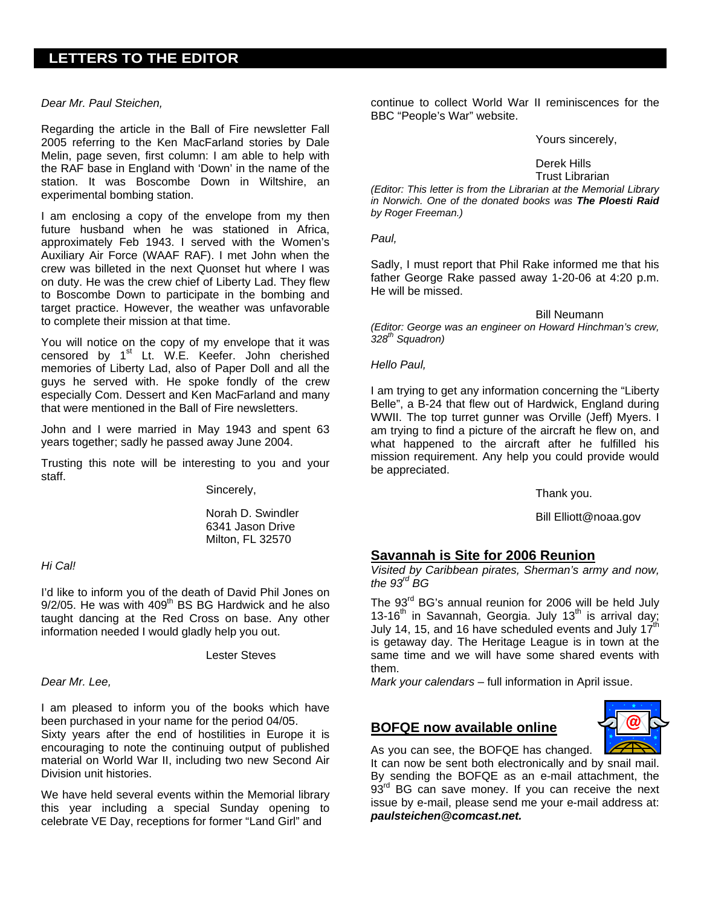# **LETTERS TO THE EDITOR**

#### *Dear Mr. Paul Steichen,*

Regarding the article in the Ball of Fire newsletter Fall 2005 referring to the Ken MacFarland stories by Dale Melin, page seven, first column: I am able to help with the RAF base in England with 'Down' in the name of the station. It was Boscombe Down in Wiltshire, an experimental bombing station.

I am enclosing a copy of the envelope from my then future husband when he was stationed in Africa, approximately Feb 1943. I served with the Women's Auxiliary Air Force (WAAF RAF). I met John when the crew was billeted in the next Quonset hut where I was on duty. He was the crew chief of Liberty Lad. They flew to Boscombe Down to participate in the bombing and target practice. However, the weather was unfavorable to complete their mission at that time.

You will notice on the copy of my envelope that it was censored by 1<sup>st</sup> Lt. W.E. Keefer. John cherished memories of Liberty Lad, also of Paper Doll and all the guys he served with. He spoke fondly of the crew especially Com. Dessert and Ken MacFarland and many that were mentioned in the Ball of Fire newsletters.

John and I were married in May 1943 and spent 63 years together; sadly he passed away June 2004.

Trusting this note will be interesting to you and your staff.

Sincerely,

Norah D. Swindler 6341 Jason Drive Milton, FL 32570

#### *Hi Cal!*

I'd like to inform you of the death of David Phil Jones on  $9/2/05$ . He was with  $409<sup>th</sup>$  BS BG Hardwick and he also taught dancing at the Red Cross on base. Any other information needed I would gladly help you out.

Lester Steves

#### *Dear Mr. Lee,*

I am pleased to inform you of the books which have been purchased in your name for the period 04/05.

Sixty years after the end of hostilities in Europe it is encouraging to note the continuing output of published material on World War II, including two new Second Air Division unit histories.

We have held several events within the Memorial library this year including a special Sunday opening to celebrate VE Day, receptions for former "Land Girl" and

continue to collect World War II reminiscences for the BBC "People's War" website.

Yours sincerely,

Derek Hills Trust Librarian

*(Editor: This letter is from the Librarian at the Memorial Library in Norwich. One of the donated books was The Ploesti Raid by Roger Freeman.)* 

*Paul,* 

Sadly, I must report that Phil Rake informed me that his father George Rake passed away 1-20-06 at 4:20 p.m. He will be missed.

Bill Neumann *(Editor: George was an engineer on Howard Hinchman's crew, 328th Squadron)* 

*Hello Paul,* 

I am trying to get any information concerning the "Liberty Belle", a B-24 that flew out of Hardwick, England during WWII. The top turret gunner was Orville (Jeff) Myers. I am trying to find a picture of the aircraft he flew on, and what happened to the aircraft after he fulfilled his mission requirement. Any help you could provide would be appreciated.

Thank you.

Bill Elliott@noaa.gov

## **Savannah is Site for 2006 Reunion**

*Visited by Caribbean pirates, Sherman's army and now, the 93rd BG* 

The 93<sup>rd</sup> BG's annual reunion for 2006 will be held July 13-16<sup>th</sup> in Savannah, Georgia. July 13<sup>th</sup> is arrival day; July 14, 15, and 16 have scheduled events and July  $17<sup>th</sup>$ is getaway day. The Heritage League is in town at the same time and we will have some shared events with them.

*Mark your calendars* – full information in April issue.

#### **BOFQE now available online**



As you can see, the BOFQE has changed. It can now be sent both electronically and by snail mail. By sending the BOFQE as an e-mail attachment, the  $93<sup>rd</sup>$  BG can save money. If you can receive the next issue by e-mail, please send me your e-mail address at: *paulsteichen@comcast.net.*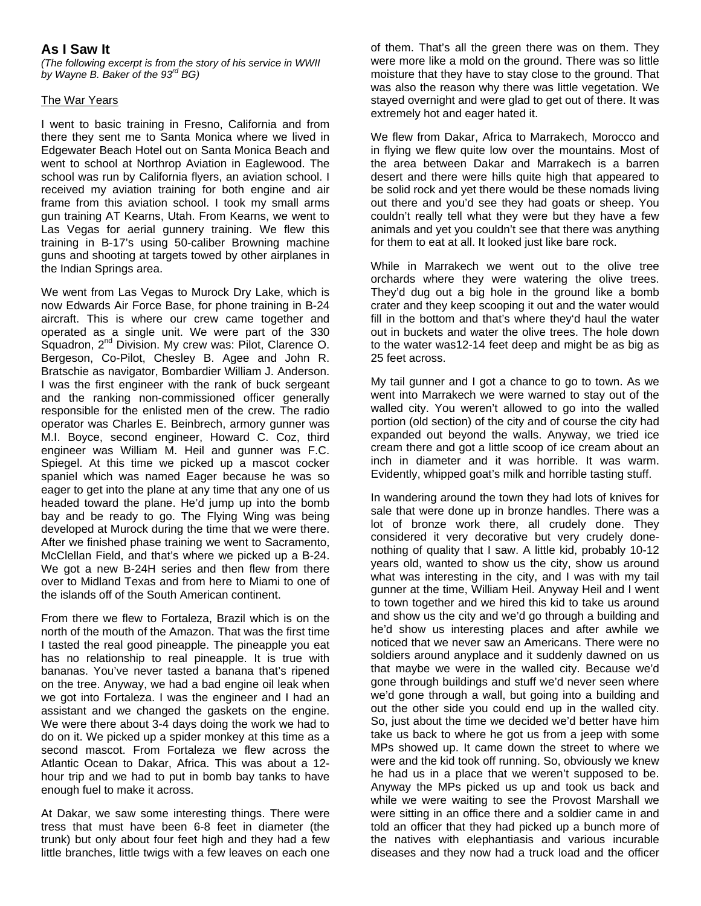# **As I Saw It**

*(The following excerpt is from the story of his service in WWII by Wayne B. Baker of the 93rd BG)* 

#### The War Years

I went to basic training in Fresno, California and from there they sent me to Santa Monica where we lived in Edgewater Beach Hotel out on Santa Monica Beach and went to school at Northrop Aviation in Eaglewood. The school was run by California flyers, an aviation school. I received my aviation training for both engine and air frame from this aviation school. I took my small arms gun training AT Kearns, Utah. From Kearns, we went to Las Vegas for aerial gunnery training. We flew this training in B-17's using 50-caliber Browning machine guns and shooting at targets towed by other airplanes in the Indian Springs area.

We went from Las Vegas to Murock Dry Lake, which is now Edwards Air Force Base, for phone training in B-24 aircraft. This is where our crew came together and operated as a single unit. We were part of the 330 Squadron, 2<sup>nd</sup> Division. My crew was: Pilot, Clarence O. Bergeson, Co-Pilot, Chesley B. Agee and John R. Bratschie as navigator, Bombardier William J. Anderson. I was the first engineer with the rank of buck sergeant and the ranking non-commissioned officer generally responsible for the enlisted men of the crew. The radio operator was Charles E. Beinbrech, armory gunner was M.I. Boyce, second engineer, Howard C. Coz, third engineer was William M. Heil and gunner was F.C. Spiegel. At this time we picked up a mascot cocker spaniel which was named Eager because he was so eager to get into the plane at any time that any one of us headed toward the plane. He'd jump up into the bomb bay and be ready to go. The Flying Wing was being developed at Murock during the time that we were there. After we finished phase training we went to Sacramento, McClellan Field, and that's where we picked up a B-24. We got a new B-24H series and then flew from there over to Midland Texas and from here to Miami to one of the islands off of the South American continent.

From there we flew to Fortaleza, Brazil which is on the north of the mouth of the Amazon. That was the first time I tasted the real good pineapple. The pineapple you eat has no relationship to real pineapple. It is true with bananas. You've never tasted a banana that's ripened on the tree. Anyway, we had a bad engine oil leak when we got into Fortaleza. I was the engineer and I had an assistant and we changed the gaskets on the engine. We were there about 3-4 days doing the work we had to do on it. We picked up a spider monkey at this time as a second mascot. From Fortaleza we flew across the Atlantic Ocean to Dakar, Africa. This was about a 12 hour trip and we had to put in bomb bay tanks to have enough fuel to make it across.

At Dakar, we saw some interesting things. There were tress that must have been 6-8 feet in diameter (the trunk) but only about four feet high and they had a few little branches, little twigs with a few leaves on each one

of them. That's all the green there was on them. They were more like a mold on the ground. There was so little moisture that they have to stay close to the ground. That was also the reason why there was little vegetation. We stayed overnight and were glad to get out of there. It was extremely hot and eager hated it.

We flew from Dakar, Africa to Marrakech, Morocco and in flying we flew quite low over the mountains. Most of the area between Dakar and Marrakech is a barren desert and there were hills quite high that appeared to be solid rock and yet there would be these nomads living out there and you'd see they had goats or sheep. You couldn't really tell what they were but they have a few animals and yet you couldn't see that there was anything for them to eat at all. It looked just like bare rock.

While in Marrakech we went out to the olive tree orchards where they were watering the olive trees. They'd dug out a big hole in the ground like a bomb crater and they keep scooping it out and the water would fill in the bottom and that's where they'd haul the water out in buckets and water the olive trees. The hole down to the water was12-14 feet deep and might be as big as 25 feet across.

My tail gunner and I got a chance to go to town. As we went into Marrakech we were warned to stay out of the walled city. You weren't allowed to go into the walled portion (old section) of the city and of course the city had expanded out beyond the walls. Anyway, we tried ice cream there and got a little scoop of ice cream about an inch in diameter and it was horrible. It was warm. Evidently, whipped goat's milk and horrible tasting stuff.

In wandering around the town they had lots of knives for sale that were done up in bronze handles. There was a lot of bronze work there, all crudely done. They considered it very decorative but very crudely donenothing of quality that I saw. A little kid, probably 10-12 years old, wanted to show us the city, show us around what was interesting in the city, and I was with my tail gunner at the time, William Heil. Anyway Heil and I went to town together and we hired this kid to take us around and show us the city and we'd go through a building and he'd show us interesting places and after awhile we noticed that we never saw an Americans. There were no soldiers around anyplace and it suddenly dawned on us that maybe we were in the walled city. Because we'd gone through buildings and stuff we'd never seen where we'd gone through a wall, but going into a building and out the other side you could end up in the walled city. So, just about the time we decided we'd better have him take us back to where he got us from a jeep with some MPs showed up. It came down the street to where we were and the kid took off running. So, obviously we knew he had us in a place that we weren't supposed to be. Anyway the MPs picked us up and took us back and while we were waiting to see the Provost Marshall we were sitting in an office there and a soldier came in and told an officer that they had picked up a bunch more of the natives with elephantiasis and various incurable diseases and they now had a truck load and the officer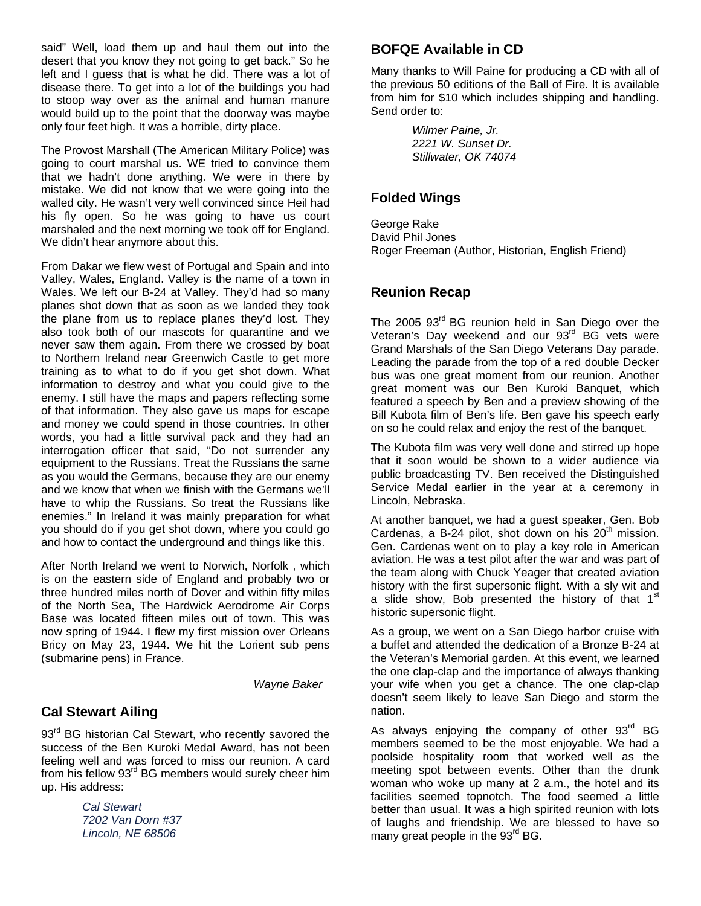said" Well, load them up and haul them out into the desert that you know they not going to get back." So he left and I guess that is what he did. There was a lot of disease there. To get into a lot of the buildings you had to stoop way over as the animal and human manure would build up to the point that the doorway was maybe only four feet high. It was a horrible, dirty place.

The Provost Marshall (The American Military Police) was going to court marshal us. WE tried to convince them that we hadn't done anything. We were in there by mistake. We did not know that we were going into the walled city. He wasn't very well convinced since Heil had his fly open. So he was going to have us court marshaled and the next morning we took off for England. We didn't hear anymore about this.

From Dakar we flew west of Portugal and Spain and into Valley, Wales, England. Valley is the name of a town in Wales. We left our B-24 at Valley. They'd had so many planes shot down that as soon as we landed they took the plane from us to replace planes they'd lost. They also took both of our mascots for quarantine and we never saw them again. From there we crossed by boat to Northern Ireland near Greenwich Castle to get more training as to what to do if you get shot down. What information to destroy and what you could give to the enemy. I still have the maps and papers reflecting some of that information. They also gave us maps for escape and money we could spend in those countries. In other words, you had a little survival pack and they had an interrogation officer that said, "Do not surrender any equipment to the Russians. Treat the Russians the same as you would the Germans, because they are our enemy and we know that when we finish with the Germans we'll have to whip the Russians. So treat the Russians like enemies." In Ireland it was mainly preparation for what you should do if you get shot down, where you could go and how to contact the underground and things like this.

After North Ireland we went to Norwich, Norfolk , which is on the eastern side of England and probably two or three hundred miles north of Dover and within fifty miles of the North Sea, The Hardwick Aerodrome Air Corps Base was located fifteen miles out of town. This was now spring of 1944. I flew my first mission over Orleans Bricy on May 23, 1944. We hit the Lorient sub pens (submarine pens) in France.

*Wayne Baker* 

# **Cal Stewart Ailing**

93<sup>rd</sup> BG historian Cal Stewart, who recently savored the success of the Ben Kuroki Medal Award, has not been feeling well and was forced to miss our reunion. A card from his fellow 93<sup>rd</sup> BG members would surely cheer him up. His address:

> *Cal Stewart 7202 Van Dorn #37 Lincoln, NE 68506*

## **BOFQE Available in CD**

Many thanks to Will Paine for producing a CD with all of the previous 50 editions of the Ball of Fire. It is available from him for \$10 which includes shipping and handling. Send order to:

> *Wilmer Paine, Jr. 2221 W. Sunset Dr. Stillwater, OK 74074*

# **Folded Wings**

George Rake David Phil Jones Roger Freeman (Author, Historian, English Friend)

## **Reunion Recap**

The 2005 93<sup>rd</sup> BG reunion held in San Diego over the Veteran's Day weekend and our 93<sup>rd</sup> BG vets were Grand Marshals of the San Diego Veterans Day parade. Leading the parade from the top of a red double Decker bus was one great moment from our reunion. Another great moment was our Ben Kuroki Banquet, which featured a speech by Ben and a preview showing of the Bill Kubota film of Ben's life. Ben gave his speech early on so he could relax and enjoy the rest of the banquet.

The Kubota film was very well done and stirred up hope that it soon would be shown to a wider audience via public broadcasting TV. Ben received the Distinguished Service Medal earlier in the year at a ceremony in Lincoln, Nebraska.

At another banquet, we had a guest speaker, Gen. Bob Cardenas, a B-24 pilot, shot down on his  $20<sup>th</sup>$  mission. Gen. Cardenas went on to play a key role in American aviation. He was a test pilot after the war and was part of the team along with Chuck Yeager that created aviation history with the first supersonic flight. With a sly wit and a slide show, Bob presented the history of that 1<sup>st</sup> historic supersonic flight.

As a group, we went on a San Diego harbor cruise with a buffet and attended the dedication of a Bronze B-24 at the Veteran's Memorial garden. At this event, we learned the one clap-clap and the importance of always thanking your wife when you get a chance. The one clap-clap doesn't seem likely to leave San Diego and storm the nation.

As always enjoying the company of other  $93<sup>rd</sup>$  BG members seemed to be the most enjoyable. We had a poolside hospitality room that worked well as the meeting spot between events. Other than the drunk woman who woke up many at 2 a.m., the hotel and its facilities seemed topnotch. The food seemed a little better than usual. It was a high spirited reunion with lots of laughs and friendship. We are blessed to have so many great people in the 93<sup>rd</sup> BG.